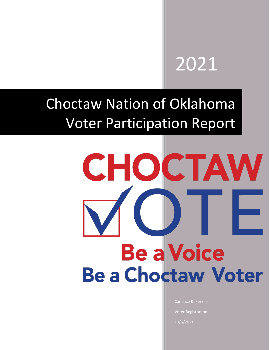# 2021

# Choctaw Nation of Oklahoma Voter Participation Report

# CHOCTAW **Be a Voice Be a Choctaw Voter**

Candace R. Perkins Voter Registration 10/6/2021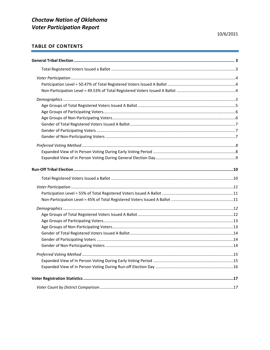# TABLE OF CONTENTS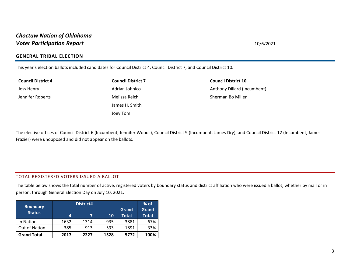### **GENERAL TRIBAL ELECTION**

This year's election ballots included candidates for Council District 4, Council District 7, and Council District 10.

**Council District 4** 

Jess Henry Jennifer Roberts

**Council District 7**  Adrian Johnico Melissa Reich James H. Smith Joey Tom

**Council District 10**  Anthony Dillard (Incumbent) Sherman Bo Miller

<span id="page-2-0"></span>The elective offices of Council District 6 (Incumbent, Jennifer Woods), Council District 9 (Incumbent, James Dry), and Council District 12 (Incumbent, James Frazier) were unopposed and did not appear on the ballots.

### TOTAL REGISTERED VOTERS ISSUED A BALLOT

The table below shows the total number of active, registered voters by boundary status and district affiliation who were issued a ballot, whether by mail or in person, through General Election Day on July 10, 2021.

<span id="page-2-1"></span>

| <b>Boundary</b>    |      | District# |           |                              | $%$ of                |
|--------------------|------|-----------|-----------|------------------------------|-----------------------|
| <b>Status</b>      | 4    | 7         | <b>10</b> | <b>Grand</b><br><b>Total</b> | Grand<br><b>Total</b> |
| In Nation          | 1632 | 1314      | 935       | 3881                         | 67%                   |
| Out of Nation      | 385  | 913       | 593       | 1891                         | 33%                   |
| <b>Grand Total</b> | 2017 | 2227      | 1528      | 5772                         | 100%                  |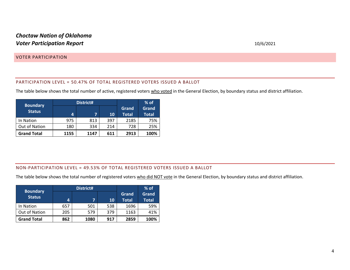### VOTER PARTICIPATION

### PARTICIPATION LEVEL = 50.47% OF TOTAL REGISTERED VOTERS ISSUED A BALLOT

The table below shows the total number of active, registered voters who voted in the General Election, by boundary status and district affiliation.

| <b>Boundary</b>    |      | District# |     | $%$ of       |              |
|--------------------|------|-----------|-----|--------------|--------------|
| <b>Status</b>      |      |           |     | Grand        | Grand        |
|                    | 4    | 7         | 10  | <b>Total</b> | <b>Total</b> |
| In Nation          | 975  | 813       | 397 | 2185         | 75%          |
| Out of Nation      | 180  | 334       | 214 | 728          | 25%          |
| <b>Grand Total</b> | 1155 | 1147      | 611 | 2913         | 100%         |

### <span id="page-3-1"></span><span id="page-3-0"></span>NON-PARTICIPATION LEVEL = 49.53% OF TOTAL REGISTERED VOTERS ISSUED A BALLOT

The table below shows the total number of registered voters who did NOT vote in the General Election, by boundary status and district affiliation.

<span id="page-3-2"></span>

|                                  |     | District# |     |                       | $%$ of                |
|----------------------------------|-----|-----------|-----|-----------------------|-----------------------|
| <b>Boundary</b><br><b>Status</b> | 4   | 7         | 10  | Grand<br><b>Total</b> | Grand<br><b>Total</b> |
| In Nation                        | 657 | 501       | 538 | 1696                  | 59%                   |
| Out of Nation                    | 205 | 579       | 379 | 1163                  | 41%                   |
| <b>Grand Total</b>               | 862 | 1080      | 917 | 2859                  | 100%                  |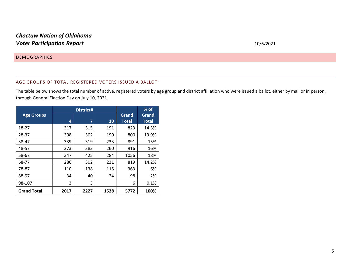### **DEMOGRAPHICS**

### AGE GROUPS OF TOTAL REGISTERED VOTERS ISSUED A BALLOT

The table below shows the total number of active, registered voters by age group and district affiliation who were issued a ballot, either by mail or in person, through General Election Day on July 10, 2021.

<span id="page-4-1"></span><span id="page-4-0"></span>

|                    |      | District# |      | $%$ of                |                       |
|--------------------|------|-----------|------|-----------------------|-----------------------|
| <b>Age Groups</b>  | 4    | 7         | 10   | Grand<br><b>Total</b> | Grand<br><b>Total</b> |
| 18-27              | 317  | 315       | 191  | 823                   | 14.3%                 |
| 28-37              | 308  | 302       | 190  | 800                   | 13.9%                 |
| 38-47              | 339  | 319       | 233  | 891                   | 15%                   |
| 48-57              | 273  | 383       | 260  | 916                   | 16%                   |
| 58-67              | 347  | 425       | 284  | 1056                  | 18%                   |
| 68-77              | 286  | 302       | 231  | 819                   | 14.2%                 |
| 78-87              | 110  | 138       | 115  | 363                   | 6%                    |
| 88-97              | 34   | 40        | 24   | 98                    | 2%                    |
| 98-107             | 3    | 3         |      | 6                     | 0.1%                  |
| <b>Grand Total</b> | 2017 | 2227      | 1528 | 5772                  | 100%                  |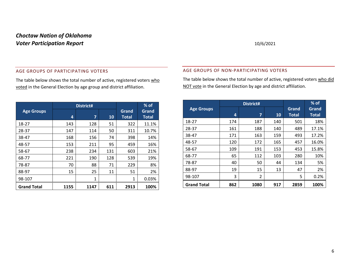### AGE GROUPS OF PARTICIPATING VOTERS

The table below shows the total number of active, registered voters who voted in the General Election by age group and district affiliation.

<span id="page-5-0"></span>

|                    |                | District#      |           | $%$ of       |              |
|--------------------|----------------|----------------|-----------|--------------|--------------|
| <b>Age Groups</b>  |                |                |           | Grand        | Grand        |
|                    | $\overline{a}$ | $\overline{7}$ | <b>10</b> | <b>Total</b> | <b>Total</b> |
| 18-27              | 143            | 128            | 51        | 322          | 11.1%        |
| 28-37              | 147            | 114            | 50        | 311          | 10.7%        |
| 38-47              | 168            | 156            | 74        | 398          | 14%          |
| 48-57              | 153            | 211            | 95        | 459          | 16%          |
| 58-67              | 238            | 234            | 131       | 603          | 21%          |
| 68-77              | 221            | 190            | 128       | 539          | 19%          |
| 78-87              | 70             | 88             | 71        | 229          | 8%           |
| 88-97              | 15             | 25             | 11        | 51           | 2%           |
| 98-107             |                | 1              |           | 1            | 0.03%        |
| <b>Grand Total</b> | 1155           | 1147           | 611       | 2913         | 100%         |

### AGE GROUPS OF NON-PARTICIPATING VOTERS

The table below shows the total number of active, registered voters who did NOT vote in the General Election by age and district affiliation.

<span id="page-5-1"></span>

|                    |     | District# |     |              | $%$ of       |
|--------------------|-----|-----------|-----|--------------|--------------|
| <b>Age Groups</b>  |     |           |     | Grand        | Grand        |
|                    | 4   | 7         | 10  | <b>Total</b> | <b>Total</b> |
| 18-27              | 174 | 187       | 140 | 501          | 18%          |
| 28-37              | 161 | 188       | 140 | 489          | 17.1%        |
| 38-47              | 171 | 163       | 159 | 493          | 17.2%        |
| 48-57              | 120 | 172       | 165 | 457          | 16.0%        |
| 58-67              | 109 | 191       | 153 | 453          | 15.8%        |
| 68-77              | 65  | 112       | 103 | 280          | 10%          |
| 78-87              | 40  | 50        | 44  | 134          | 5%           |
| 88-97              | 19  | 15        | 13  | 47           | 2%           |
| 98-107             | 3   | 2         |     | 5            | 0.2%         |
| <b>Grand Total</b> | 862 | 1080      | 917 | 2859         | 100%         |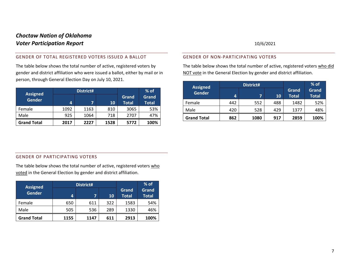### GENDER OF TOTAL REGISTERED VOTERS ISSUED A BALLOT

The table below shows the total number of active, registered voters by gender and district affiliation who were issued a ballot, either by mail or in person, through General Election Day on July 10, 2021.

| <b>Assigned</b>    |      | District# |      | $%$ of                |                       |
|--------------------|------|-----------|------|-----------------------|-----------------------|
| <b>Gender</b>      | 4    | 7         | 10   | Grand<br><b>Total</b> | Grand<br><b>Total</b> |
| Female             | 1092 | 1163      | 810  | 3065                  | 53%                   |
| Male               | 925  | 1064      | 718  | 2707                  | 47%                   |
| <b>Grand Total</b> | 2017 | 2227      | 1528 | 5772                  | 100%                  |

### GENDER OF NON-PARTICIPATING VOTERS

The table below shows the total number of active, registered voters who did NOT vote in the General Election by gender and district affiliation.

<span id="page-6-2"></span>

| <b>Assigned</b>    |     | District# |     | $%$ of                       |                       |
|--------------------|-----|-----------|-----|------------------------------|-----------------------|
| <b>Gender</b>      | 4   |           | 10  | <b>Grand</b><br><b>Total</b> | Grand<br><b>Total</b> |
| Female             | 442 | 552       | 488 | 1482                         | 52%                   |
| Male               | 420 | 528       | 429 | 1377                         | 48%                   |
| <b>Grand Total</b> | 862 | 1080      | 917 | 2859                         | 100%                  |

### <span id="page-6-0"></span>GENDER OF PARTICIPATING VOTERS

The table below shows the total number of active, registered voters who voted in the General Election by gender and district affiliation.

<span id="page-6-1"></span>

| <b>Assigned</b>    |      | District# |     | $%$ of                       |                       |
|--------------------|------|-----------|-----|------------------------------|-----------------------|
| <b>Gender</b>      | 4    |           | 10  | <b>Grand</b><br><b>Total</b> | Grand<br><b>Total</b> |
| Female             | 650  | 611       | 322 | 1583                         | 54%                   |
| Male               | 505  | 536       | 289 | 1330                         | 46%                   |
| <b>Grand Total</b> | 1155 | 1147      | 611 | 2913                         | 100%                  |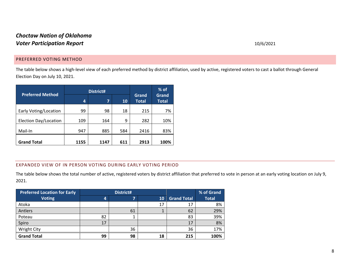### PREFERRED VOTING METHOD

The table below shows a high-level view of each preferred method by district affiliation, used by active, registered voters to cast a ballot through General Election Day on July 10, 2021.

| <b>Preferred Method</b> |      | District# |     | $%$ of                       |                       |
|-------------------------|------|-----------|-----|------------------------------|-----------------------|
|                         | 4    | 7         | 10  | <b>Grand</b><br><b>Total</b> | Grand<br><b>Total</b> |
| Early Voting/Location   | 99   | 98        | 18  | 215                          | 7%                    |
| Election Day/Location   | 109  | 164       | 9   | 282                          | 10%                   |
| Mail-In                 | 947  | 885       | 584 | 2416                         | 83%                   |
| <b>Grand Total</b>      | 1155 | 1147      | 611 | 2913                         | 100%                  |

### <span id="page-7-0"></span>EXPANDED VIEW OF IN PERSON VOTING DURING EARLY VOTING PERIOD

The table below shows the total number of active, registered voters by district affiliation that preferred to vote in person at an early voting location on July 9, 2021.

<span id="page-7-1"></span>

| <b>Preferred Location for Early</b> |    | District# |    | % of Grand         |              |
|-------------------------------------|----|-----------|----|--------------------|--------------|
| <b>Voting</b>                       | 4  |           | 10 | <b>Grand Total</b> | <b>Total</b> |
| Atoka                               |    |           | 17 | 17                 | 8%           |
| Antlers                             |    | 61        |    | 62                 | 29%          |
| Poteau                              | 82 |           |    | 83                 | 39%          |
| Spiro                               | 17 |           |    | 17                 | 8%           |
| <b>Wright City</b>                  |    | 36        |    | 36                 | 17%          |
| <b>Grand Total</b>                  | 99 | 98        | 18 | 215                | 100%         |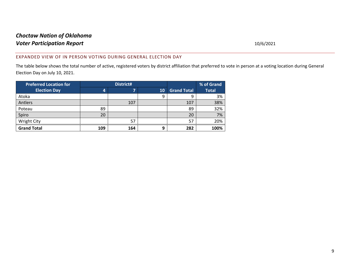### EXPANDED VIEW OF IN PERSON VOTING DURING GENERAL ELECTION DAY

The table below shows the total number of active, registered voters by district affiliation that preferred to vote in person at a voting location during General Election Day on July 10, 2021.

<span id="page-8-0"></span>

| <b>Preferred Location for</b> | District# |     |    |                    | % of Grand   |
|-------------------------------|-----------|-----|----|--------------------|--------------|
| <b>Election Day</b>           | 4         | -   | 10 | <b>Grand Total</b> | <b>Total</b> |
| Atoka                         |           |     | 9  | 9                  | 3%           |
| Antlers                       |           | 107 |    | 107                | 38%          |
| Poteau                        | 89        |     |    | 89                 | 32%          |
| Spiro                         | 20        |     |    | 20                 | 7%           |
| Wright City                   |           | 57  |    | 57                 | 20%          |
| <b>Grand Total</b>            | 109       | 164 | 9  | 282                | 100%         |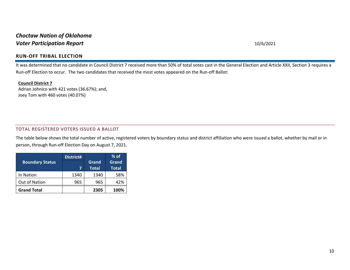### **RUN-OFF TRIBAL ELECTION**

It was determined that no candidate in Council District 7 received more than 50% of total votes cast in the General Election and Article XXII, Section 3 requires a Run-off Election to occur. The two candidates that received the most votes appeared on the Run-off Ballot:

### **Council District 7**

Adrian Johnico with 421 votes (36.67%); and, Joey Tom with 460 votes (40.07%)

### TOTAL REGISTERED VOTERS ISSUED A BALLOT

<span id="page-9-0"></span>The table below shows the total number of active, registered voters by boundary status and district affiliation who were issued a ballot, whether by mail or in person, through Run-off Election Day on August 7, 2021.

<span id="page-9-1"></span>

|                        | District# |              | $%$ of       |
|------------------------|-----------|--------------|--------------|
| <b>Boundary Status</b> |           | Grand        | Grand        |
|                        | 7         | <b>Total</b> | <b>Total</b> |
| In Nation              | 1340      | 1340         | 58%          |
| Out of Nation          | 965       | 965          | 42%          |
| <b>Grand Total</b>     |           | 2305         | 100%         |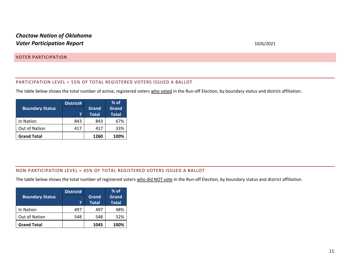### VOTER PARTICIPATION

### PARTICIPATION LEVEL = 55% OF TOTAL REGISTERED VOTERS ISSUED A BALLOT

The table below shows the total number of active, registered voters who voted in the Run-off Election, by boundary status and district affiliation.

<span id="page-10-0"></span>

|                        | District# |              | $%$ of       |
|------------------------|-----------|--------------|--------------|
| <b>Boundary Status</b> |           | Grand        | Grand        |
|                        |           | <b>Total</b> | <b>Total</b> |
| In Nation              | 843       | 843          | 67%          |
| Out of Nation          | 417       | 417          | 33%          |
| <b>Grand Total</b>     |           | 1260         | 100%         |

### <span id="page-10-1"></span>NON-PARTICIPATION LEVEL = 45% OF TOTAL REGISTERED VOTERS ISSUED A BALLOT

The table below shows the total number of registered voters who did NOT vote in the Run-off Election, by boundary status and district affiliation.

<span id="page-10-2"></span>

| <b>Boundary Status</b> | District# | Grand<br><b>Total</b> | $%$ of<br>Grand<br><b>Total</b> |
|------------------------|-----------|-----------------------|---------------------------------|
| In Nation              | 497       | 497                   | 48%                             |
| Out of Nation          | 548       | 548                   | 52%                             |
| <b>Grand Total</b>     |           | 1045                  | 100%                            |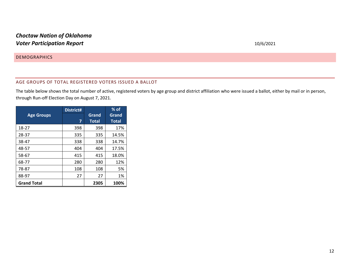### **DEMOGRAPHICS**

### AGE GROUPS OF TOTAL REGISTERED VOTERS ISSUED A BALLOT

The table below shows the total number of active, registered voters by age group and district affiliation who were issued a ballot, either by mail or in person, through Run-off Election Day on August 7, 2021.

<span id="page-11-1"></span><span id="page-11-0"></span>

|                    | District# |              | $%$ of       |
|--------------------|-----------|--------------|--------------|
| <b>Age Groups</b>  |           | Grand        | Grand        |
|                    | 7         | <b>Total</b> | <b>Total</b> |
| 18-27              | 398       | 398          | 17%          |
| 28-37              | 335       | 335          | 14.5%        |
| 38-47              | 338       | 338          | 14.7%        |
| 48-57              | 404       | 404          | 17.5%        |
| 58-67              | 415       | 415          | 18.0%        |
| 68-77              | 280       | 280          | 12%          |
| 78-87              | 108       | 108          | 5%           |
| 88-97              | 27        | 27           | 1%           |
| <b>Grand Total</b> |           | 2305         | 100%         |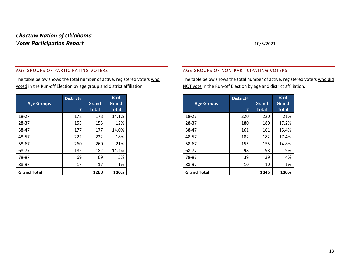### AGE GROUPS OF PARTICIPATING VOTERS

The table below shows the total number of active, registered voters who voted in the Run-off Election by age group and district affiliation.

<span id="page-12-0"></span>

|                    | District# |              | $%$ of       |
|--------------------|-----------|--------------|--------------|
| <b>Age Groups</b>  |           | Grand        | Grand        |
|                    | 7         | <b>Total</b> | <b>Total</b> |
| 18-27              | 178       | 178          | 14.1%        |
| 28-37              | 155       | 155          | 12%          |
| 38-47              | 177       | 177          | 14.0%        |
| 48-57              | 222       | 222          | 18%          |
| 58-67              | 260       | 260          | 21%          |
| 68-77              | 182       | 182          | 14.4%        |
| 78-87              | 69        | 69           | 5%           |
| 88-97              | 17        | 17           | 1%           |
| <b>Grand Total</b> |           | 1260         | 100%         |

### AGE GROUPS OF NON-PARTICIPATING VOTERS

The table below shows the total number of active, registered voters who did NOT vote in the Run-off Election by age and district affiliation.

<span id="page-12-1"></span>

|                    | District# |              | $%$ of       |
|--------------------|-----------|--------------|--------------|
| <b>Age Groups</b>  |           | Grand        | Grand        |
|                    | 7         | <b>Total</b> | <b>Total</b> |
| 18-27              | 220       | 220          | 21%          |
| 28-37              | 180       | 180          | 17.2%        |
| 38-47              | 161       | 161          | 15.4%        |
| 48-57              | 182       | 182          | 17.4%        |
| 58-67              | 155       | 155          | 14.8%        |
| 68-77              | 98        | 98           | 9%           |
| 78-87              | 39        | 39           | 4%           |
| 88-97              | 10        | 10           | 1%           |
| <b>Grand Total</b> |           | 1045         | 100%         |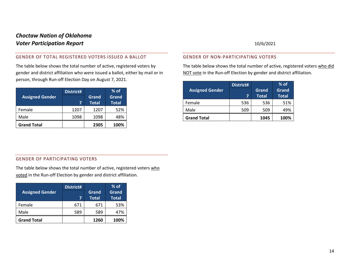### GENDER OF TOTAL REGISTERED VOTERS ISSUED A BALLOT

The table below shows the total number of active, registered voters by gender and district affiliation who were issued a ballot, either by mail or in person, through Run-off Election Day on August 7, 2021.

|                        | District# |              | $%$ of       |
|------------------------|-----------|--------------|--------------|
| <b>Assigned Gender</b> |           | Grand        | Grand        |
|                        |           | <b>Total</b> | <b>Total</b> |
| Female                 | 1207      | 1207         | 52%          |
| Male                   | 1098      | 1098         | 48%          |
| <b>Grand Total</b>     |           | 2305         | 100%         |

### GENDER OF NON-PARTICIPATING VOTERS

The table below shows the total number of active, registered voters who did NOT vote in the Run-off Election by gender and district affiliation.

<span id="page-13-2"></span>

|                        | District# |              | $%$ of       |
|------------------------|-----------|--------------|--------------|
| <b>Assigned Gender</b> |           | Grand        | Grand        |
|                        | 7         | <b>Total</b> | <b>Total</b> |
| Female                 | 536       | 536          | 51%          |
| Male                   | 509       | 509          | 49%          |
| <b>Grand Total</b>     |           | 1045         | 100%         |

### <span id="page-13-0"></span>GENDER OF PARTICIPATING VOTERS

The table below shows the total number of active, registered voters who voted in the Run-off Election by gender and district affiliation.

<span id="page-13-1"></span>

|                        | District# |              | $%$ of       |
|------------------------|-----------|--------------|--------------|
| <b>Assigned Gender</b> |           | Grand        | Grand        |
|                        |           | <b>Total</b> | <b>Total</b> |
| Female                 | 671       | 671          | 53%          |
| Male                   | 589       | 589          | 47%          |
| <b>Grand Total</b>     |           | 1260         | 100%         |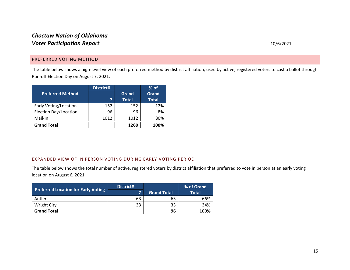### PREFERRED VOTING METHOD

The table below shows a high-level view of each preferred method by district affiliation, used by active, registered voters to cast a ballot through Run-off Election Day on August 7, 2021.

|                         | District# |              | $%$ of       |
|-------------------------|-----------|--------------|--------------|
| <b>Preferred Method</b> |           | Grand        | Grand        |
|                         | 7         | <b>Total</b> | <b>Total</b> |
| Early Voting/Location   | 152       | 152          | 12%          |
| Election Day/Location   | 96        | 96           | 8%           |
| Mail-In                 | 1012      | 1012         | 80%          |
| <b>Grand Total</b>      |           | 1260         | 100%         |

### <span id="page-14-0"></span>EXPANDED VIEW OF IN PERSON VOTING DURING EARLY VOTING PERIOD

The table below shows the total number of active, registered voters by district affiliation that preferred to vote in person at an early voting location on August 6, 2021.

<span id="page-14-1"></span>

| <b>Preferred Location for Early Voting</b> | District# |                    | % of Grand   |
|--------------------------------------------|-----------|--------------------|--------------|
|                                            |           | <b>Grand Total</b> | <b>Total</b> |
| <b>Antlers</b>                             | 63        | 63                 | 66%          |
| <b>Wright City</b>                         | 33        | 33                 | 34%          |
| <b>Grand Total</b>                         |           | 96                 | 100%         |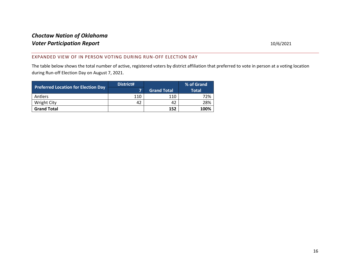### EXPANDED VIEW OF IN PERSON VOTING DURING RUN -OFF ELECTION DAY

The table below shows the total number of active, registered voters by district affiliation that preferred to vote in person at a voting location during Run-off Election Day on August 7, 2021.

<span id="page-15-0"></span>

| <b>Preferred Location for Election Day</b> | District# |                    | % of Grand   |
|--------------------------------------------|-----------|--------------------|--------------|
|                                            |           | <b>Grand Total</b> | <b>Total</b> |
| <b>Antlers</b>                             | 110       | 110                | 72%          |
| <b>Wright City</b>                         | 42        | 42                 | 28%          |
| <b>Grand Total</b>                         |           | 152                | 100%         |